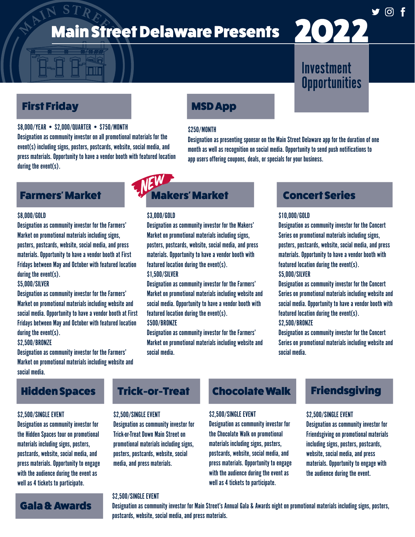# MAIN **Main Street Delaware Presents**

# First Friday

### \$8,000/YEAR • \$2,000/QUARTER • \$750/MONTH

Designation as community investor on all promotional materials for the event(s) including signs, posters, postcards, website, social media, and press materials. Opportunity to have a vendor booth with featured location during the event(s).

# MSD App

### \$250/MONTH

Designation as presenting sponsor on the Main Street Delaware app for the duration of one month as well as recognition on social media. Opportunity to send push notifications to

# Farmers' Market

### \$8,000/GOLD

Designation as community investor for the Farmers' Market on promotional materials including signs, posters, postcards, website, social media, and press materials. Opportunity to have a vendor booth at First Fridays between May and October with featured location during the event(s).

### \$5,000/SILVER

Designation as community investor for the Farmers' Market on promotional materials including website and social media. Opportunity to have a vendor booth at First Fridays between May and October with featured location during the event(s).

#### \$2,500/BRONZE

Designation as community investor for the Farmers' Market on promotional materials including website and social media.

# Hidden Spaces

### \$2,500/SINGLE EVENT

Designation as community investor for the Hidden Spaces tour on promotional materials including signs, posters, postcards, website, social media, and press materials. Opportunity to engage with the audience during the event as well as 4 tickets to participate.

Gala & Awards

# Trick-or-Treat

### \$2,500/SINGLE EVENT

Designation as community investor for Trick-or-Treat Down Main Street on promotional materials including signs, posters, postcards, website, social media, and press materials.

### \$2,500/SINGLE EVENT

Designation as community investor for Main Street's Annual Gala & Awards night on promotional materials including signs, posters, postcards, website, social media, and press materials.

Chocolate Walk

Designation as community investor for the Chocolate Walk on promotional materials including signs, posters, postcards, website, social media, and press materials. Opportunity to engage with the audience during the event as well as 4 tickets to participate.

\$2,500/SINGLE EVENT

# **Investment Opportunities**

2022

# app users offering coupons, deals, or specials for your business.

# akers' Market

### \$3,000/GOLD

Designation as community investor for the Makers' Market on promotional materials including signs, posters, postcards, website, social media, and press materials. Opportunity to have a vendor booth with featured location during the event(s).

### \$1,500/SILVER

Designation as community investor for the Farmers' Market on promotional materials including website and social media. Opportunity to have a vendor booth with featured location during the event(s). \$500/BRONZE

Designation as community investor for the Farmers' Market on promotional materials including website and social media.

# Concert Series

### \$10,000/GOLD

Designation as community investor for the Concert Series on promotional materials including signs, posters, postcards, website, social media, and press materials. Opportunity to have a vendor booth with featured location during the event(s).

### \$5,000/SILVER

Designation as community investor for the Concert Series on promotional materials including website and social media. Opportunity to have a vendor booth with featured location during the event(s). \$2,500/BRONZE

# Designation as community investor for the Concert

Series on promotional materials including website and social media.

# Friendsgiving

### \$2,500/SINGLE EVENT

Designation as community investor for Friendsgiving on promotional materials including signs, posters, postcards, website, social media, and press materials. Opportunity to engage with the audience during the event.